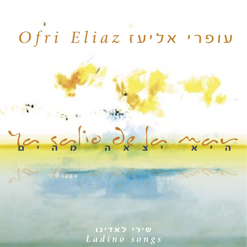# Uliaz עופרי אליעז

Yen septionale for more

שירי לאדינו Ladino songs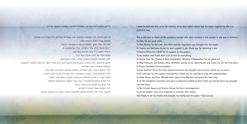הדיסק מוקדש לזכרו של אבי, שאהבתו למוזיקה השפיעה עמוקות על חיי.

זה הזמן להודות לכל האנשים הנפלאים שהיו מעורבים בפרויקט הזה בצורה זו או אחרת: לאלכס. עבור השנים הטובות שלנו. לשי בכר. עבור הזמו. המאמץ וההשראה שהבאת לסטודיו. ליעקב ונחמה בורק עבור התמיכה. תודה שהאמנתם בי. להרולד וינשטין ז''ל עבור תמיכתו בפרויקט. לאמא ויורלי ויח הררה אהרה וירור הרל לילנה מהמרכז לקליטת אומנים עולים - עבור הרצון הטוב. למקס פרנסטון, ג'ואל ברסלר, עמוס הופמן, ג'ושוע לוויט, אדם בטלר ותומר צור עבור השנים הראשונות. להוסטס וומבולוס עבור האדיבות. לאייל אפשטיין עבור הזמן הסבלנות והנשמה שהבאת לעבודתנו. המון תודה. לאלי לישינסקי עבור התמיכה והסבלנות. תודה שחיכית זמן כה ארוך והבנת. לשאבי הציר. ג'ו אליעז. מטילדה כהו-סראנו ומרים הרינגמו עבור העזרה. לכל הנגנים הנפלאים שנתנו יד. תודה עבור הנשמה שהכנסתם למוזיקה. למר יצחק נבון ושמעון פרנס עבור העידוד. לכל האנשים שאולי שכחםי להזכירם ולבסוף, תודה לכל החברים שהפכו למשפחה ברבות השנים. אני אוהבת אתכם.

I want to dedicate this c.d to the memory of my dear father whose love for music inspired my life in a profound way.

This is the time to thank all the wonderful people who were involved in this project in one way or another: To Alex, for our good vears.

To Shai Bachar for the time, the effort and the inspiration you brought into the studio. To Yaakov and Nechama Burak for your support in me. Thank you for believing in me. To Harold Weinstein O.B.M for his support in this project. To my mother and Yovali with a lot of love for everything. To Yelena from the 'Center of New Immigrants', Ministry of Absorption for her good will. To Max Franosch. Joel Bresler, Amos Hoffman, Joshua Levitt. Adam Butler and Tomer Zur for the first vears. To Kostas Vombolos for his kindness. To Eyal Epshtein for all the time, patience and soul you brought into our work. Thank you so much. To Eli Lishinsky for the support and patience. Thank you for waiting so long and understanding.

To Shabi Katzir, Joe Eliaz, Matilda Koen-Sarano and Meriam Haringman for their help.

To all the wonderful musicians who gave a hand and worked so hard. Thank you for the spirit you brought into the music

To Mr. Yitzhak Navon and Shimon Parnas for their encouragement.

To all the people I may have forgotten to mention their names.

And finally to all my friends who became my family over the years. I love you all.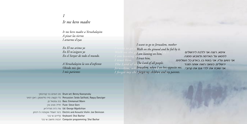## Ir me kero madre

Ir me kero madre a Yerushalayim A pizar las tierras I artarme d'eyas

En El me arimo yo En El m'asiguro yo En el Senyor de todo el mundo.

A Yerushalayim la veo d'enfrente Olvido mis ijos I mis parientes

I want to go to Jerusalem, mother Walk on the ground and be fed by it. I am leaning on him, I trust him, The Lord of all the Lord of all people. Jerusalem, whJerusalem, when I see her opposite me, I forget my chilforget my children and my parents.

אימא. רוצה אני ללכח לירושלים לפסוע על האדמה ולשבוע ממנה. אני נשען עליו, אני בוטח בו, באדון כל העולמים. ירושלים. כשאני רואה אוחה מנגד אני שוכח את ילדי וגם את קרובי.

O Drum set: Benny Koonyevsky סט תופים: בני קונייבסקי Chroussion: Seido Salifoski, Raguy Danziger כלי הקשה: סידו סליפוסקי, ראקי דנזיגר in ואל חו Bass: Emmanuel Mann חליל: סטיב גורו Flute: Steve Gorn Ud: George Mgrdichian עוד: ג'ורג מגרדיג'יאן Electric and Acoustic Violin: Joe Deninzon כינור חשמלי ואקוסטי: ג'ו דנימון הלידים: שי בכר Keyboard: Shai Bachar Computer programming: Shai Bachar תכנות מחשב: שי בכר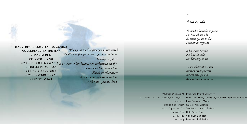# 2 Adio kerida

Tu madre kuando te pario I te kito al mundo Korason eya no te dio Para amar segundo

Adio, Adio kerida No kero la vida Me l'amargates tu

Va hushkate otro amor Aharva otras puertas Aspera otro pasion Ke para mi sos muerta.

O Drum set: Benny Koonyevsky סט תופים: בני קונייבסקי Percussion: Benny Koonyevsky,Raguy Danziger, Antonio Deviv כלי הקשה: בני קונייבסקי, ראקי דנזיגר, אנטוניו דביבו Bass: Emmanuel Mann בס: עמנואל מן Guitars: Alex Skolnick גיטרות: אלכס סקולניק o Solo Guitar: John La Barbera סולו גיטרה: ג'ון לה ברברה חליל: סטיב גורן Flute: Steve Gorn Uiolin: Joe Deninzon כינור: ג'ו דנימון הלידים: שי בכר Keyboard: Shai Bachar

כשאימא שלך ילדה והביאה אותך לעולם When your mother gave you to the world היא לא נתנה לך לב לאהבה שנייה. She did not give you a heart for a second love. להתראות יקירתי אני לא רוצה לחיות כי את מיררת לי את החיים. I don't want to live because you embittered my life. לכי חפשי אהבה אחרת Go and look for another love דפקי על דלתות אחרות Knock on other doors חכי לעוד אהבה עם תשוקה Wait for another passionate love בשבילי את מתה. As for me - you are dead.

Goodbye my dear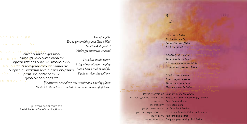# $\overline{\mathcal{E}}$  $Dicko$

Alevanta Djako En bodas i en berit No te amostres flako Ke tienes mushteris

Chalkidii de meana Yo les kanto sin kedar Me maneo komo un barko A mi va me vaman Diako

Mushteri de meana Kon entojos i parpar Yo me vo komo piola Para les yevar la bolsa

O Drum set: Benny Koonyevsky סט תופים: בני קונייבסקי Chroussion: Seido Salifoski, Raguy Danziger כלי הקשה: סידו סליפוסקי, ראקי דנזיגר Emmanuel Mann בס: עמנואל מן חליל: סטיב גורן Flute: Steve Gorn Ud: Omar Faruk Tekbilek עוד:עומר פארוק טקבילק Electric and Acoustic Violin: Joe Deninzon כינור חשמלי ואקוסטי: ג'ו דנימון הלידים: שי בכר Keyboard: Shai Bachar Computer programming: Shai Bachar

Get up Djako You've got weddings and 'Bris Milas' Don't look dispirited You've got customers at hand

> I conduct in the tavern I sing along without stopping Like a boat I rock to and fro Djako is what they call me.

If customers come along real swanky and wearing glasses I'll stick to them like a 'nudnik' to get some dough off of them.

תודה מיוחדת לקוסטס וומבולוס, יוון. Special thanks to Kostas Vombolos, Greece.

<mark>כן צ'חן בטובר</mark>נה", ואני וא<br>**תקום ג<sup>י</sup>קו בחתונות ובבריתות** אל תראה חולשה כשיש לה לקוחות מנצח בטברנה , אני אשיר להם ללא הפסקה אני מתנועע כמו סירה הם הוראים לי ג<sup>י</sup>מו. נה יוב אי ו כשהלקוחות בטברנה באים מתנדנדים עם משקפיים אני נדבק אליהם כמו -נו<del>ֹרוּ</del>יה - <sup>ב דיביק - אולי יו</sup> כדי לקחת מהם את הכסף.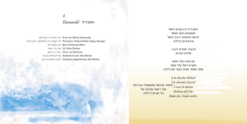# ‰Ó"·ÏÈ *Hamavdil*

בל יום וכ<mark>יל</mark> לילה.

סט תופים: בני קונייבסקי Drum set: Benny Koonyevsky כלי הקשה: סידו סליפוסקי, ראקי דמיגר Percussion: Seido Salifoski, Raquy Danziger בס: עמנואל מן Bass: Emmanuel Mann Ud: Nizar Rohana עוד: ניזר רוחנה רינור: ג'ו דנימון Violin: Joe Deninzon קלידים וסולו: שי בכר Keyboard & solo: Shai Bachar תכנות מחשב: שי בכר Computer programming: Shai Bachar

המבדיל בין קודש לחול חנואחינו הוא ימחול זרווינו ורספינו ירבה בחול וככוכבים בלילה.

אליהו הנב**לכבוד חמדת לבבי**<br>אליהו הנריא אליהו הנביא.

אקרא לאל עלי גומ**יי**  $\overline{a}$ כי שומר אחא בוקר וגם לי**<sup>אַק βי</mark>לי**</sup> יום פנה כצל חומר<sup>.</sup> אקרא לאל עלי גומר אמר שומר אתא בוקר וגם לילה.

<mark>מימיני מיכאל ומשמאלי גבריאל</mark> ועל ראשי שכינת אל כל יום וכל לילה. *echa derihael lderecha M derecha la A A la derecha Mihael I la iskierda Gavriel kavesa la sovre I* **Shehina** del Dio *Kada dia i kada noche.* 

**get** iskierda Gavriel **in I** *esa kav la sovre I Dio del Shehina .noche kada i dia Kada*

## *4*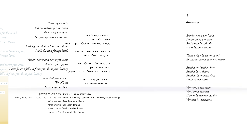# Auvoles

5

Arvoles yoran por luvias I muntanyas por ayres Ansi yoran los mis ojos Por ti kerida amante

Torno i digo ke va ser de mi En tierras ajenas yo me vo murir.

Blanka sos hlanko vistes Blanka la tu figura Blankas flores kaen de ti De la tu ermozura

Ven veras i ven veras Ven i veras veremos L'amor ke tenemos los dos Ven mos lo gozaremos.

Trees cry for rain And mountains for the wind And so my eyes weep העצים בוכים לגשם For you my dear sweetheart. וההריח לרוחוח ככה בוכות העיניים שלי עליך יקירתי. I ask again what will become of me I will die in a foreign land. אני חוזר ואומר מה יהיה איחי בארץ ניכר עלי למות. You are white and white you wear את לבנה ולבן את לובשת White is your figure לבנה היא צורחר פרחים לבנים נופלים ממך, מיופייך.′ Come and you will see בוא וחיראי. שנינו נראה

בואי נהנה מאהבתנו.

We will see Let's enjoy our love.

סט תופים: בני קונייבסקי Drum set: Benny Koonyevsky Percussion: Benny Koonyevsky, Eli Lishinsky, Raguy Danziger כלי הקשה: בני קונייבסקי, אלי לישינסקי, ראקי דנזיגר וון Bass: Emmanuel Mann Ud: Nizar Rohana עוד: ניזר רוחנה Violin: Joe Deninzon כינור: ג'ו דנימון הלידים: שי בכר Keyboard: Shai Bachar

s for the wind,  $weep$ ir sweetheart.

> at will become of me, foreign land.

and white you wear, igure, White flowers fall out from you, from your beauty. fall out from you, from your beauty.

will see,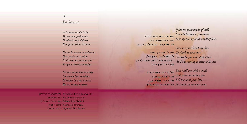# 6 La Serena

Si la mar era de leche Yo me aria peshkador Peshkaria mis dolores Kon palavrikas d'amor.

Dame la mano tu palomba Para suvir al tu nido Maldicha ke durmes sola Vengo a durmir kontigo.

No me mates kon kuchiyo Ni menos kon revolver Matame kon tus amores En tus brasos murire.

Percussion: Benny Koonyevsky כלי הקשה: בני קונייבסקי D ו Bass: Emmanuel Mann Guitars: Alex Skolnick גיטרות: אלכס סקולניק Violin: Joe Deninzon כינור: ג'ו דנימוו הלידים: שי בכר Keyboard: Shai Bachar

If the sea were made of milk אם הים היה עשוי מחלב דג את כאבי עם מילות אהבה

I would become a fisherman Fish my misery with words of love. Give me your hand my dove To climb to your nest תני לי את ידך יונתי

Cursed be you who sleep alone ארורה את כי את ישנה לבדך So I am coming to sleep with you. אני בא לישון איתך

> אל תהרגי אותי בסכין Don't kill me with a knife And even not with a gun הרגי אותי עם אהבתך Kill me with your love . So I will die in your arms. כדי שאמות בזרועותיך.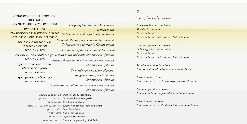נערה צעירה נמצאת בבית המרחץ לרושה ראדוח היכנסי לים והשיגי אוחו. היכנסי לים

הייחי נכנסח לים אם הייתי מקבלת אישור מהחותנת שלי Go into the sea and reach it. Go into the sea. היכנסי לים והשיגי אוחו. היכנסי לים I'll go into the sea if my mother-in-law allows it. <u>היא יצאה מהים אישה יפה</u> לבושה באדום ולבן. היא יצאה מהיח היא יצאה מהים. הכלה יצאה מריח המרחצ החתן כבר חיכה לה

היא יצאה מהיח בין הים לחול צמח עץ שקד היא יצאה מהיח

Go into the sea and reach it. Go into the sea. She came out of the sea as a beautiful woman בין הים לנהר צמח עץ חבושים Dressed in red and white. She came out of the sea. Between the sea and the river a quince tree sprouted. She came out of the sea. The bride came out of the 'Hamam', the groom already waited for her. She came out of the sea. Between the sea and the sand an almond tree sprouted,

She came out of the sea.

The young lass went into the 'Hamam'

Dressed in red

סט תופים: בני קונייבסקי Drum set: Benny Koonyevsky Percussion: Benny Koonyevsky כלי הקשה: בני קונייבסקי n ומחואל חו Bass: Emmanuel Mann Cuitars: Alex Skolnick , John La Barbera גיטרות: אלכס סקולניק, ג'ון לה ברברה חליל: סטיב גורו Flute: Steve Gorn Violin: Joe Deninzon כינור: ג'ו דנימוו הלידים: שי בכר Keyboard: Shai Bachar Computer programming: Shai Bachar תכנות מחשב: שי בכר

 $\mathcal{I}$ 

### Yes sestio de les neur

Muchachika esta en el banyo Vestida de kolorado Echate a la mar. Echate a la mar i alkansa – echate a la mar.

A la mar yo bien me echava Si la suegra lisensia me dava. Echate a la mar Echate a la mar i alkansa – echate a la mar.

Ya salio de la mar la galana Kon un vestido al i blanko – ya salio de la mar.

Entre la mar i el rio Mos kresio un arvol de bembrivo- va salio de la mar.

La novia ya salio del banyo El novio va la esta asperando- va salio de la mar.

Entre la mar i la arena Mos kresio un arvol de almendra- ya salio de la mar.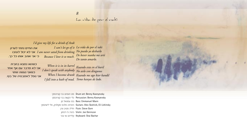La vida de peu el vaki

I'd give my life for a drink of Arak

את החיים נתתי לערק אני לא יכול לעזבו I am never sated from drinking No puedo yo desharlo<br>כי אני אוהב אותו כל כך.<br>Because I love it so much. De bever nunka me arti

I can't let go of it La vida do por el raki De tanto amarlo.

כשהוא נמצא בחבית אני לא מדבר עם אף אחד רשאני נגשיה שחוי אני נופל לאמבטיה של בוץ.

When it is in its barrel Kuando esta en el baril I don't speak with anybody No avlo con dingunos When I become drunk Kuando me ago kior kandil I fall into a bath of mud. Tomo banyos de lodo.

O Drum set: Benny Koonyevsky סט תופים: בני קונייבסקי Percussion: Benny Koonyevsky כלי הקשה: בני קונייבסקי Emmanuel Mann בס: עמנואל מן Cuitars: Alex Skolnick, Eli Lishinsky גיטרות: אלכס סקולניק, אלי לישינסקי חליל: סטיב גורן Flute: Steve Gorn Violin: Joe Deninzon כינור: ג'ו דנימון הלידים: שי בכר Keyboard: Shai Bachar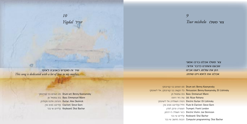10 Yigdal *Yigdal* 

9 צור משלו Tsur mishelo

צור משלו אכלנו ברכו אמוני שבענו והוחרנו כדבר אדוני. הזן את עולמו, רוענו אבינו אכלנו אח לחמו ויינו שחינו.

סט תופים: בני קונייבסקי Drum set: Benny Koonyevsky Percussion: Benny Koonvevsky, Eli Lishinsky כלי המשה: בני מונייבסמי. אלי לישינסמי Emmanuel Mann בס: עמנואל מן Ud: Nizar Rohana עוד: ריזר רוחנה גיטרה חשמלית: אלי לישינסקי Electric Guitar: Eli Lishinsky חליל וקלרינט: סטיב גורן Flute & Clarinet: Steve Gorn חצוצרה: פרנק לונדון Trumpet: Frank London Electric Violin: Joe Deninzon כינור חשמלי: ג'ו דנימוו הלידים: שי בכר Keyboard: Shai Bachar Computer programming: Shai Bachar תכנות מחשב: שי בכר

שיר זה מוקדש באהבה לאימי This song is dedicated with a lot of love to my mother.

> O Drum set: Benny Koonyevsky סט תופים: בני קונייבסקי D ו Eass: Emmanuel Mann Guitar: Alex Skolnick גיטרות: אלכס סקולניק Clarinet: Steve Gorn קלרינט: סטיב גורן הלידים: שי בכר Keyboard: Shai Bachar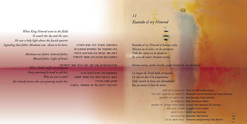When King Nimrod went to the fields To watch the sky and the stars He saw a holy light above the Jewish quarter Signaling that father Abraham was about to be born.

> Abraham our father, beloved father, Blessed father, Light of Israel.

When Terah's wife was pregnant Every morning he used to ask her: Why are you so pale? She already knew who was growing inside her.

כשהמלך נמרוד היה יוצא לשדה היה מסחכל על השמיים והכוכבים ראה אור קדוש בא מהרובע היהודי כשאברהם אבינו היה אמור להיוולד

אברהם אבינו, אב יקר, אב ברוך ואור לישראל.

כשאשתו של תרח היתה הרה בוקר בבוקרו הוא היה שואל אותה: מדוע חוורו פנייר? היא כבר ידעה על מי שצומח. בחוכה.

 $11$ Kuando el rey Nimrod



Kuando el rey Nimrod al kampo salia Mirava en el sielo i en la estreyeria Vido luz santa en la djuderia Ke avia de naser Avraam avinu.

Avram avinu, padre kerido, padre bendicho, luz de Israel.

La mujer de Terah kedo prenyada De dia en dia el le preguntava: Deke tenesh la kara tan demudada? Eya ya savia el bien ke tenia.

> סט תופים: בני קונייבסקי Drum set: Benny Koonyevsky Chroussion: Benny Koonyevsky, Raguy Danziger כלי הקשה: בני קונייבסקי, ראקי דנזיגר O Solo Dumbak: Seido Salifoski סולו דרבוקה: סידו סליפוסקי D 2 Dass: Emmanuel Mann גיטרות: אלכס סקולניק, אלי לישינסקי Guitars: Alex Skolnick, Eli Lishinsky Trumpet: Frank London חצוצרה: פרנק לונדוו Ce Deninzon כינור: ג'ו דנימון הלידים: שי בכר Keyboard: Shai Bachar ncun neuter programming: Shai Bachar -54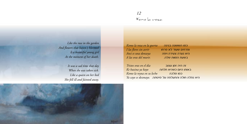$12$ Konolaroza

Like the rose in the garden And flowers that haven't bloomed Is a beautiful young girl At the moment of her death.

> It was a sad time that day When she was taken sick. Like a queen on her bed She fell ill and fainted away.

Komo la roza en la guerta I las flores sin avrir Ansi es una donzeya A las oras del murir.

כמו השושנה בגינה ופרחים שעוד לא פרחו היא נערה צעירה ויפה בשעת המוות שלה.

Tristes oras en el dia זה היה זמן עצוב Ke hazina ya kayo באותו היום כשהיא חלתה Komo la reyna en su lecho כמו מלכה Ta cayo se dezmayo. היא נפלה חולה והתעלפה על מיטתה.

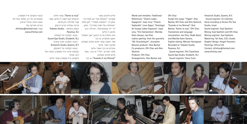Words and melodies: Traditional Espagnols", Issac Levy: "Chants-References: "Chants Judeo-Sephardis", Leon Algazi; "Antologia de liturgia Judeo-Espanola", Isaac Levy: "Vini Kantaremos", Matilda Koen-Sarano: Joe Eliaz Ladino spelling: from the quarterly "Aki Yerushalayim", Jerusalem Musical producer: Shai Bachar Co-producers: Ofri Eliaz and Alex Skolnick

Ofri Eliaz

Paramus, N.J.

Except the songs: "Yigdal": Shai Bachar, Ofri Eliaz and Alex Skolnick. "Kuando el rey Nimrod": Shai Bachar, "Komo la roza": Ofri Eliaz Translations and Janguage consultation: Joe Eliaz, Shabi Katzir and Matilda Koen-Sarano. English editing: Meriam Haringman Recorded at: Tedasko Studio.

Artsonick Studio, Queens, N.Y. Sound engineer: Eli Lishinsky Vocal recording at Across The Sea

Sound engineer: Eyal Epshtein Mixing: Eyal Epshtein and Ofri Eliaz Mixing engineer: Eyal Epshtein Mastering: Tali Katz, S.D.L Studio Graphic Design: Avigail Horowitz Paintings: Africa Coll Contact: ofrieliaz@hotmail.com www.ofrieliaz.com

Studio, Israel

Sound engineer: Phil Castellano Sound Spa Studio, Elizabeth, N.J. Sound engineer: Steve Cutis

Producer: Ofri Eliaz Arrangements: Shai Bachar and

hnu יולים ולחנים: חהורוח: "רוחנסוח ושירי עם ספרדייח". יצחק לוי; "רומנסות מספרד", לאון אלמי; ״אנתולוגיה של חזנות ספרדית״, יצחק לוי; "ויני קאנטארמוס", מתילדה כהן-סראנו: ג'ו אליעז יום הלאדינו על פי הררעוו ''אהי ירושלים'' הפקה מוזיקלית: שי בכר עוזרי הפקה: עופרי אליעז ואלכס סהולניה מפיקה: עופרי אליעז עיבודים: שי בכר ועופרי אליעז מלבד השירים: "יגדל": שי בכר, עופרי אליעז ואלכס סקולניק

": שי בכר "Kuando el rey Nimrod"

"Komo la roza"<sup>.</sup> וטסרי אליוט תרגומים ויעוץ לשוני: ג'ו אליעז, שאבי קציר ומתילדה כהן-סראנו Unitra xirà: עריכם אנגלים: הוהלט ראולפרי: Tedasko Studio. Paramus, N.J. טכנאי הקלטה: פיל קסטלנו Sound Spa Studio, Elizabeth, N.J. טכנאי הקלטה: סטיב קיוטיס Artsonick Studio, Queens, N.Y. טכנאי הקלטה: אלי לישינסקי הקלטות שירה: אייל אפשטיין, סטודיו מול היח. ישראל

מיקסים: אייל אפשטיין ועופרי אליעז

טכנאי מיקסים: אייל אפשטיין מאסטרינג: טלי כץ, אולפני אס.די.אל עיצוב גראפי: אביגיל הורוביץ ציורים: אפריקה קול ofrieliaz@hotmail.com :העיר www.ofrieliaz.com